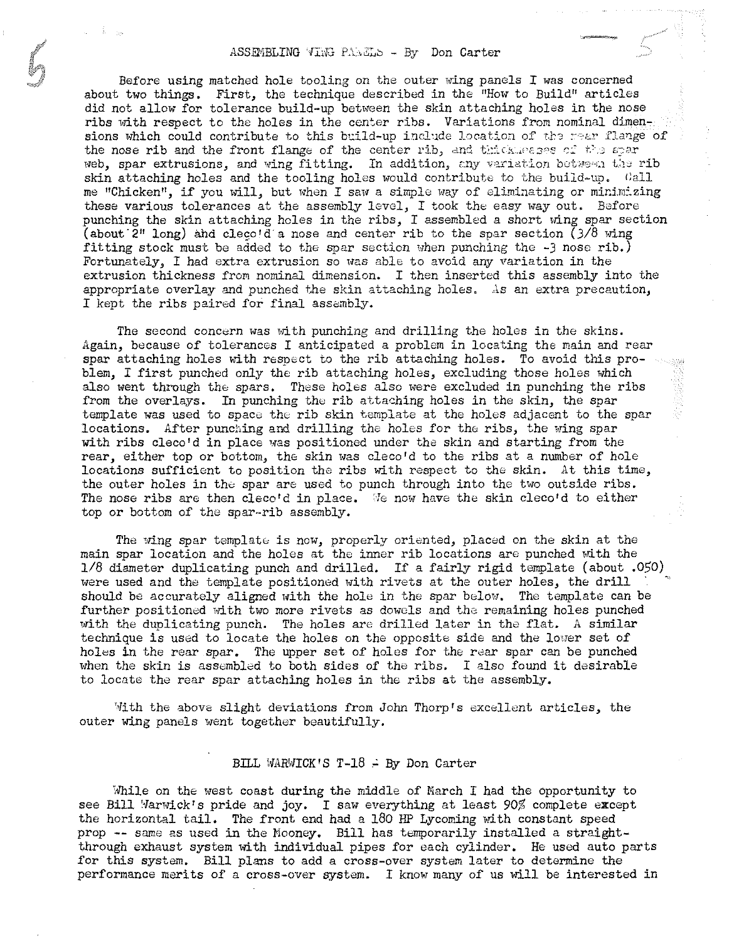Before using matched hole tooling on the outer wing panels  $I$  was concerned about two things. First, the technique described in the "How to Build" articles did not allow for tolerance build-up between the skin attaching holes in the nose ribs with respect to the holes in the center ribs. Variations from nominal dimensions which could contribute to this build-up include location of the rear flange of the nose rib and the front flange of the center rib, and thickmesses of the spar web, spar extrusions, and wing fitting. In addition, any variation between the rib skin attaching holes and the tooling holes would contribute to the build-up. Call me "Chicken", if you will, but when I saw a simple way of eliminating or minimizing these various tolerances at the assembly level, I took the easy way out. Before punching the skin attaching holes in the ribs, I assembled a short wing spar section (about'2" long) and clego'da nose and center rib to the spar section *(318* wing fitting stock must be added to the spar section when punching the -3 nose rib.) Fortunately, I had extra extrusion so uas able to avoid any variation in the extrusion thickness from nominal dimension. I then inserted this assembly into the appropriate overlay and punched the skin attaching holes. As an extra precaution, I kept the ribs paired for final assemblY.

The second concern was with punching and drilling the holes in the skins. Again, because of tolerances I anticipated a problem in locating the main and rear spar attaching holes with respect to the rib attaching holes. To avoid this problem, I first punched only the rib attaching holes, excluding those holes which also went through the spars. These holes also were excluded in punching the ribs from the overlays. In punching the rib attaching holes in the skin, the spar template was used to space the rib skin template at the holes adjacent to the spar locations. After punching and drilling the holes for the ribs, the wing spar with ribs cleco'd in place was positioned under the skin and starting from the rear, either top or bottom, the skin was cleco'd to the ribs at a number of hole locations sufficient to position the ribs with respect to the skin. At this time, the outer holes in the spar are used to punch through into the two outside ribs. The nose ribs are then cleco'd in place. 'Ie now have the skin cleco'd to either top or bottom of the spar-rib assembly.

The wing spar template is now, properly oriented, placed on the skin at the main spar location and the holes at the inner rib locations are punched with the *1/8* diameter duplicating punch and drilled. If a fairly rigid template (about .050) were used and the template positioned with rivets at the outer holes, the drill should be accurately aligned with the hole in the spar below. The template can be further positioned with two more rivets as dowels and the remaining holes punched with the duplicating punch. The holes are drilled later in the flat. A similar technique is used to locate the holes on the opposite side and the lower set of holes in the rear spar. The upper set of holes for the rear spar can be punched when the skin is assembled to both sides of the ribs. I also found it desirable to locate the rear spar attaching holes in the ribs at the assembly.

 $M$ ith the above slight deviations from John Thorp's excellent articles, the outer wing panels went together beautifully.

## BILL WARWICK'S  $T-18$ . By Don Carter

While on the west coast during the middle of March I had the opportunity to see Bill Warwick's pride and joy. I saw everything at least 90% complete except the horizontal tail. The front end had a 180 HP Lycoming with constant speed prop -- same as used in the Mooney. Bill has temporarily installed a straightthrough exhaust system with individual pipes for each cylinder. He used auto parts for this system. Bill plans to add a cross-over system later to determine the performance merits of a cross-over system. I know many of us will be interested in